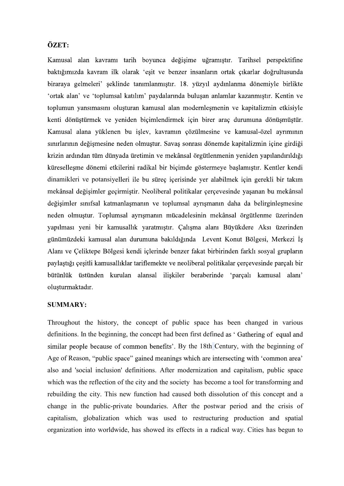## ÖZET:

Kamusal alan kavramı tarih boyunca değişime uğramıştır. Tarihsel perspektifine baktığımızda kavram ilk olarak 'eşit ve benzer insanların ortak çıkarlar doğrultusunda biraraya gelmeleri' şeklinde tanımlanmıştır. 18. yüzyıl aydınlanma dönemiyle birlikte 'ortak alan' ve 'toplumsal katılım' paydalarında buluşan anlamlar kazanmıştır. Kentin ve toplumun yansımasını oluşturan kamusal alan modernleşmenin ve kapitalizmin etkisiyle kenti dönüştürmek ve yeniden biçimlendirmek için birer araç durumuna dönüşmüştür. Kamusal alana yüklenen bu işlev, kavramın çözülmesine ve kamusal-özel ayrımının sınırlarının değismesine neden olmuştur. Savas sonrası dönemde kapitalizmin içine girdiği krizin ardından tüm dünyada üretimin ve mekânsal örgütlenmenin yeniden yapılandırıldığı küresellesme dönemi etkilerini radikal bir biçimde göstermeye baslamıştır. Kentler kendi dinamikleri ve potansiyelleri ile bu süreç içerisinde yer alabilmek için gerekli bir takım mekânsal değişimler geçirmiştir. Neoliberal politikalar çerçevesinde yaşanan bu mekânsal değişimler sınıfsal katmanlaşmanın ve toplumsal ayrışmanın daha da belirginleşmesine neden olmuştur. Toplumsal ayrışmanın mücadelesinin mekânsal örgütlenme üzerinden yapılması yeni bir kamusallık yaratmıştır. Çalışma alanı Büyükdere Aksı üzerinden günümüzdeki kamusal alan durumuna bakıldığında Levent Konut Bölgesi, Merkezi İs Alanı ve Çeliktepe Bölgesi kendi içlerinde benzer fakat birbirinden farklı sosyal grupların paylaştığı çeşitli kamusallıklar tariflemekte ve neoliberal politikalar çerçevesinde parçalı bir bütünlük üstünden kurulan alansal iliskiler beraberinde 'parçalı kamusal alanı' oluşturmaktadır.

## SUMMARY:

Throughout the history, the concept of public space has been changed in various definitions. In the beginning, the concept had been first defined as 'Gathering of equal and similar people because of common benefits'. By the 18th Century, with the beginning of Age of Reason, "public space" gained meanings which are intersecting with 'common area' also and 'social inclusion' definitions. After modernization and capitalism, public space which was the reflection of the city and the society has become a tool for transforming and rebuilding the city. This new function had caused both dissolution of this concept and a change in the public-private boundaries. After the postwar period and the crisis of capitalism, globalization which was used to restructuring production and spatial organization into worldwide, has showed its effects in a radical way. Cities has begun to